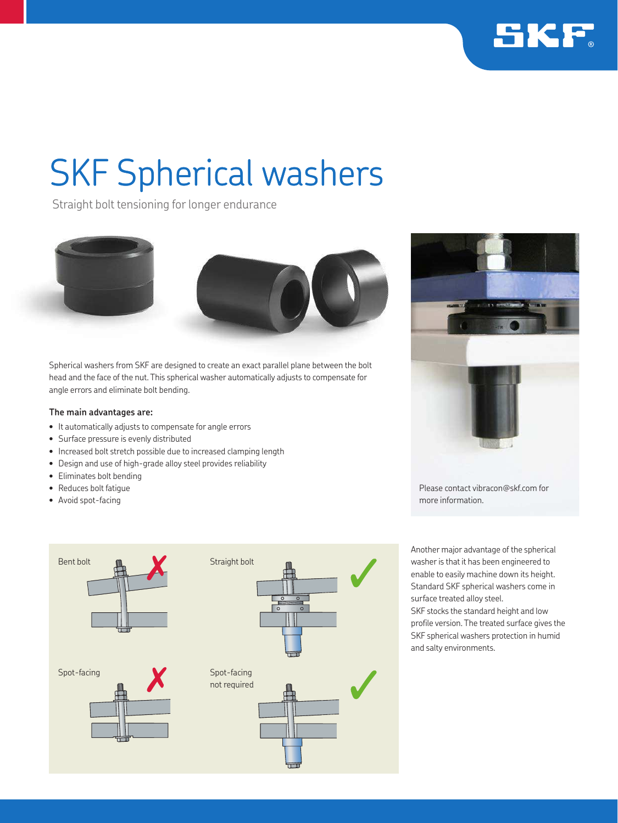

# SKF Spherical washers

Straight bolt tensioning for longer endurance



Spherical washers from SKF are designed to create an exact parallel plane between the bolt head and the face of the nut. This spherical washer automatically adjusts to compensate for angle errors and eliminate bolt bending.

## **The main advantages are:**

- It automatically adjusts to compensate for angle errors
- Surface pressure is evenly distributed
- Increased bolt stretch possible due to increased clamping length
- Design and use of high-grade alloy steel provides reliability
- Eliminates bolt bending
- Reduces bolt fatigue
- Avoid spot-facing





Please contact vibracon@skf.com for more information.

Another major advantage of the spherical washer is that it has been engineered to enable to easily machine down its height. Standard SKF spherical washers come in surface treated alloy steel. SKF stocks the standard height and low profile version. The treated surface gives the SKF spherical washers protection in humid and salty environments.